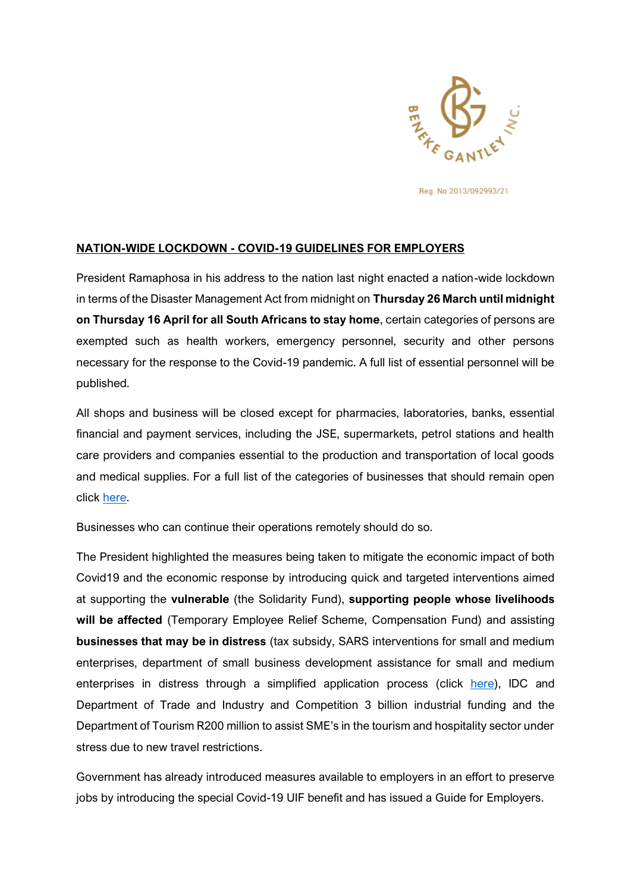

Reg. No 2013/092993/21

## **NATION-WIDE LOCKDOWN - COVID-19 GUIDELINES FOR EMPLOYERS**

President Ramaphosa in his address to the nation last night enacted a nation-wide lockdown in terms of the Disaster Management Act from midnight on **Thursday 26 March until midnight on Thursday 16 April for all South Africans to stay home**, certain categories of persons are exempted such as health workers, emergency personnel, security and other persons necessary for the response to the Covid-19 pandemic. A full list of essential personnel will be published.

All shops and business will be closed except for pharmacies, laboratories, banks, essential financial and payment services, including the JSE, supermarkets, petrol stations and health care providers and companies essential to the production and transportation of local goods and medical supplies. For a full list of the categories of businesses that should remain open click [here.](https://www.coronavirusmonitor.co.za/breaking-news/full-list-of-essential-services-during-lockdown/)

Businesses who can continue their operations remotely should do so.

The President highlighted the measures being taken to mitigate the economic impact of both Covid19 and the economic response by introducing quick and targeted interventions aimed at supporting the **vulnerable** (the Solidarity Fund), **supporting people whose livelihoods will be affected** (Temporary Employee Relief Scheme, Compensation Fund) and assisting **businesses that may be in distress** (tax subsidy, SARS interventions for small and medium enterprises, department of small business development assistance for small and medium enterprises in distress through a simplified application process (click [here\)](http://www.smmesa.gov.za/), IDC and Department of Trade and Industry and Competition 3 billion industrial funding and the Department of Tourism R200 million to assist SME's in the tourism and hospitality sector under stress due to new travel restrictions.

Government has already introduced measures available to employers in an effort to preserve jobs by introducing the special Covid-19 UIF benefit and has issued a Guide for Employers.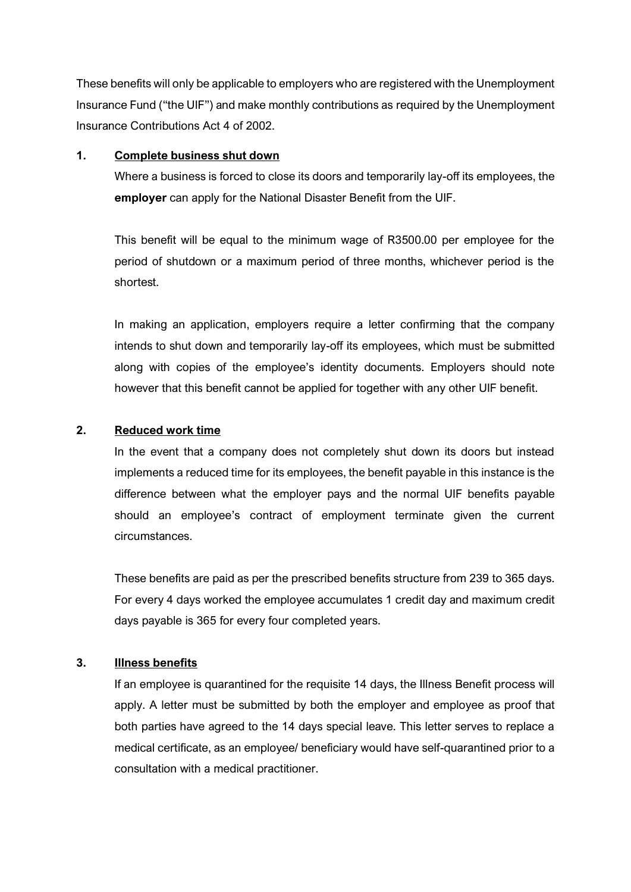These benefits will only be applicable to employers who are registered with the Unemployment Insurance Fund ("the UIF") and make monthly contributions as required by the Unemployment Insurance Contributions Act 4 of 2002.

#### **1. Complete business shut down**

Where a business is forced to close its doors and temporarily lay-off its employees, the **employer** can apply for the National Disaster Benefit from the UIF.

This benefit will be equal to the minimum wage of R3500.00 per employee for the period of shutdown or a maximum period of three months, whichever period is the shortest.

In making an application, employers require a letter confirming that the company intends to shut down and temporarily lay-off its employees, which must be submitted along with copies of the employee's identity documents. Employers should note however that this benefit cannot be applied for together with any other UIF benefit.

# **2. Reduced work time**

In the event that a company does not completely shut down its doors but instead implements a reduced time for its employees, the benefit payable in this instance is the difference between what the employer pays and the normal UIF benefits payable should an employee's contract of employment terminate given the current circumstances.

These benefits are paid as per the prescribed benefits structure from 239 to 365 days. For every 4 days worked the employee accumulates 1 credit day and maximum credit days payable is 365 for every four completed years.

## **3. Illness benefits**

If an employee is quarantined for the requisite 14 days, the Illness Benefit process will apply. A letter must be submitted by both the employer and employee as proof that both parties have agreed to the 14 days special leave. This letter serves to replace a medical certificate, as an employee/ beneficiary would have self-quarantined prior to a consultation with a medical practitioner.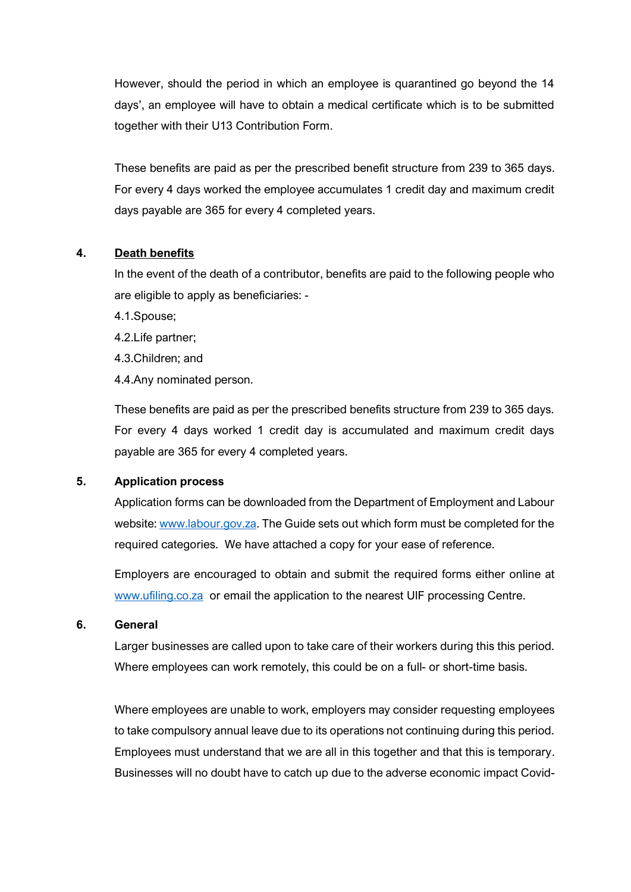However, should the period in which an employee is quarantined go beyond the 14 days', an employee will have to obtain a medical certificate which is to be submitted together with their U13 Contribution Form.

These benefits are paid as per the prescribed benefit structure from 239 to 365 days. For every 4 days worked the employee accumulates 1 credit day and maximum credit days payable are 365 for every 4 completed years.

## **4. Death benefits**

In the event of the death of a contributor, benefits are paid to the following people who are eligible to apply as beneficiaries: -

4.1.Spouse;

4.2.Life partner;

4.3.Children; and

4.4.Any nominated person.

These benefits are paid as per the prescribed benefits structure from 239 to 365 days. For every 4 days worked 1 credit day is accumulated and maximum credit days payable are 365 for every 4 completed years.

#### **5. Application process**

Application forms can be downloaded from the Department of Employment and Labour website[: www.labour.gov.za.](http://www.labour.gov.za/) The Guide sets out which form must be completed for the required categories. We have attached a copy for your ease of reference.

Employers are encouraged to obtain and submit the required forms either online at [www.ufiling.co.za](http://www.ufiling.co.za/) or email the application to the nearest UIF processing Centre.

## **6. General**

Larger businesses are called upon to take care of their workers during this this period. Where employees can work remotely, this could be on a full- or short-time basis.

Where employees are unable to work, employers may consider requesting employees to take compulsory annual leave due to its operations not continuing during this period. Employees must understand that we are all in this together and that this is temporary. Businesses will no doubt have to catch up due to the adverse economic impact Covid-